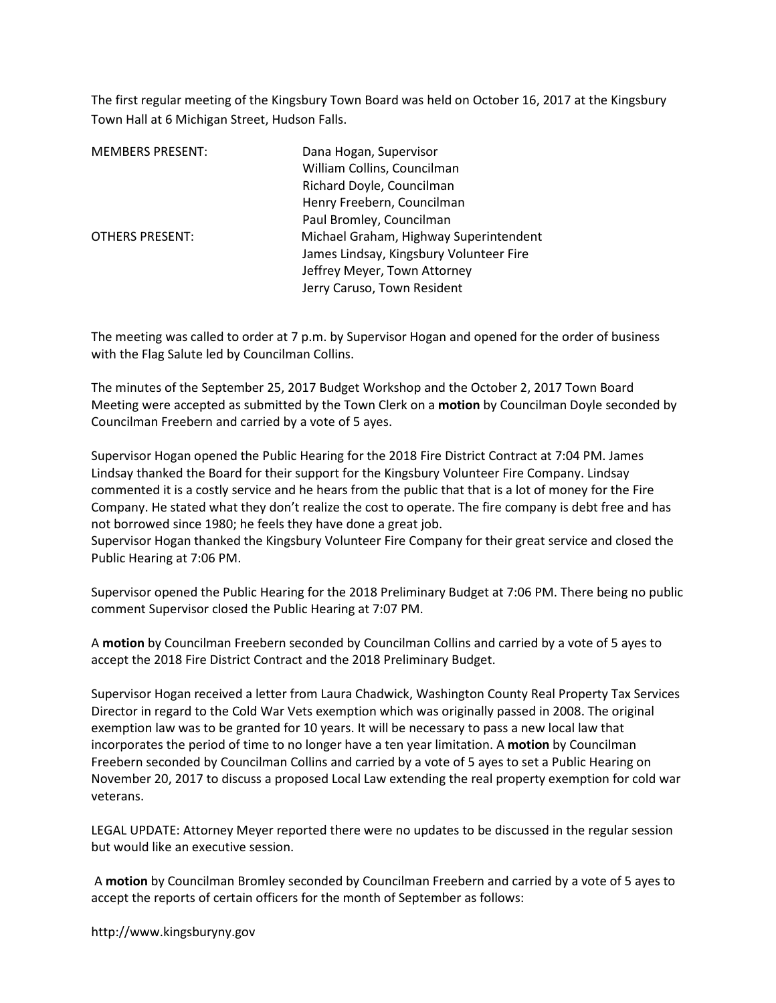The first regular meeting of the Kingsbury Town Board was held on October 16, 2017 at the Kingsbury Town Hall at 6 Michigan Street, Hudson Falls.

| <b>MEMBERS PRESENT:</b> | Dana Hogan, Supervisor                  |
|-------------------------|-----------------------------------------|
|                         | William Collins, Councilman             |
|                         | Richard Doyle, Councilman               |
|                         | Henry Freebern, Councilman              |
|                         | Paul Bromley, Councilman                |
| <b>OTHERS PRESENT:</b>  | Michael Graham, Highway Superintendent  |
|                         | James Lindsay, Kingsbury Volunteer Fire |
|                         | Jeffrey Meyer, Town Attorney            |
|                         | Jerry Caruso, Town Resident             |

The meeting was called to order at 7 p.m. by Supervisor Hogan and opened for the order of business with the Flag Salute led by Councilman Collins.

The minutes of the September 25, 2017 Budget Workshop and the October 2, 2017 Town Board Meeting were accepted as submitted by the Town Clerk on a **motion** by Councilman Doyle seconded by Councilman Freebern and carried by a vote of 5 ayes.

Supervisor Hogan opened the Public Hearing for the 2018 Fire District Contract at 7:04 PM. James Lindsay thanked the Board for their support for the Kingsbury Volunteer Fire Company. Lindsay commented it is a costly service and he hears from the public that that is a lot of money for the Fire Company. He stated what they don't realize the cost to operate. The fire company is debt free and has not borrowed since 1980; he feels they have done a great job.

Supervisor Hogan thanked the Kingsbury Volunteer Fire Company for their great service and closed the Public Hearing at 7:06 PM.

Supervisor opened the Public Hearing for the 2018 Preliminary Budget at 7:06 PM. There being no public comment Supervisor closed the Public Hearing at 7:07 PM.

A motion by Councilman Freebern seconded by Councilman Collins and carried by a vote of 5 ayes to accept the 2018 Fire District Contract and the 2018 Preliminary Budget.

Supervisor Hogan received a letter from Laura Chadwick, Washington County Real Property Tax Services Director in regard to the Cold War Vets exemption which was originally passed in 2008. The original exemption law was to be granted for 10 years. It will be necessary to pass a new local law that incorporates the period of time to no longer have a ten year limitation. A motion by Councilman Freebern seconded by Councilman Collins and carried by a vote of 5 ayes to set a Public Hearing on November 20, 2017 to discuss a proposed Local Law extending the real property exemption for cold war veterans.

LEGAL UPDATE: Attorney Meyer reported there were no updates to be discussed in the regular session but would like an executive session.

 A motion by Councilman Bromley seconded by Councilman Freebern and carried by a vote of 5 ayes to accept the reports of certain officers for the month of September as follows:

http://www.kingsburyny.gov